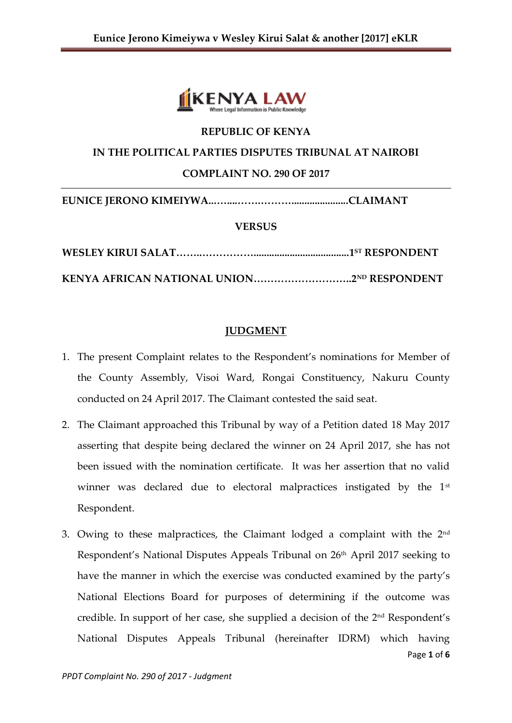

### **REPUBLIC OF KENYA**

### **IN THE POLITICAL PARTIES DISPUTES TRIBUNAL AT NAIROBI**

### **COMPLAINT NO. 290 OF 2017**

**EUNICE JERONO KIMEIYWA...…....…….………......................CLAIMANT**

### **VERSUS**

# **JUDGMENT**

- 1. The present Complaint relates to the Respondent's nominations for Member of the County Assembly, Visoi Ward, Rongai Constituency, Nakuru County conducted on 24 April 2017. The Claimant contested the said seat.
- 2. The Claimant approached this Tribunal by way of a Petition dated 18 May 2017 asserting that despite being declared the winner on 24 April 2017, she has not been issued with the nomination certificate. It was her assertion that no valid winner was declared due to electoral malpractices instigated by the 1<sup>st</sup> Respondent.
- Page **1** of **6** 3. Owing to these malpractices, the Claimant lodged a complaint with the  $2^{\text{nd}}$ Respondent's National Disputes Appeals Tribunal on 26th April 2017 seeking to have the manner in which the exercise was conducted examined by the party's National Elections Board for purposes of determining if the outcome was credible. In support of her case, she supplied a decision of the 2nd Respondent's National Disputes Appeals Tribunal (hereinafter IDRM) which having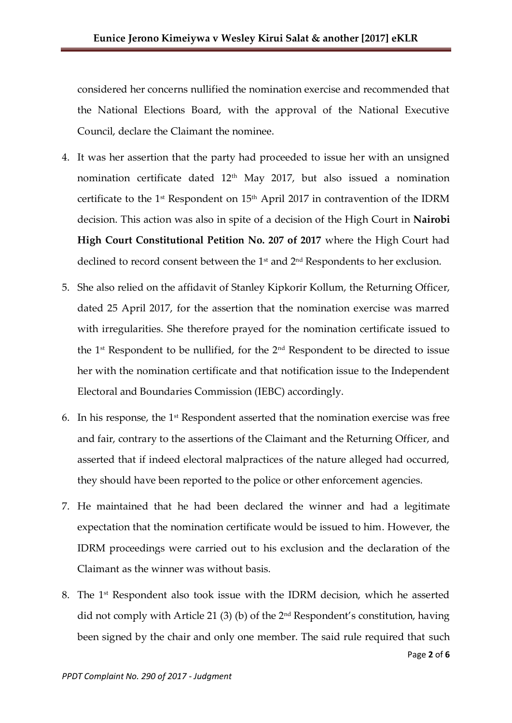considered her concerns nullified the nomination exercise and recommended that the National Elections Board, with the approval of the National Executive Council, declare the Claimant the nominee.

- 4. It was her assertion that the party had proceeded to issue her with an unsigned nomination certificate dated 12th May 2017, but also issued a nomination certificate to the 1st Respondent on 15th April 2017 in contravention of the IDRM decision. This action was also in spite of a decision of the High Court in **Nairobi High Court Constitutional Petition No. 207 of 2017** where the High Court had declined to record consent between the 1<sup>st</sup> and 2<sup>nd</sup> Respondents to her exclusion.
- 5. She also relied on the affidavit of Stanley Kipkorir Kollum, the Returning Officer, dated 25 April 2017, for the assertion that the nomination exercise was marred with irregularities. She therefore prayed for the nomination certificate issued to the 1st Respondent to be nullified, for the 2nd Respondent to be directed to issue her with the nomination certificate and that notification issue to the Independent Electoral and Boundaries Commission (IEBC) accordingly.
- 6. In his response, the  $1<sup>st</sup>$  Respondent asserted that the nomination exercise was free and fair, contrary to the assertions of the Claimant and the Returning Officer, and asserted that if indeed electoral malpractices of the nature alleged had occurred, they should have been reported to the police or other enforcement agencies.
- 7. He maintained that he had been declared the winner and had a legitimate expectation that the nomination certificate would be issued to him. However, the IDRM proceedings were carried out to his exclusion and the declaration of the Claimant as the winner was without basis.
- Page **2** of **6** 8. The 1st Respondent also took issue with the IDRM decision, which he asserted did not comply with Article 21 (3) (b) of the  $2<sup>nd</sup>$  Respondent's constitution, having been signed by the chair and only one member. The said rule required that such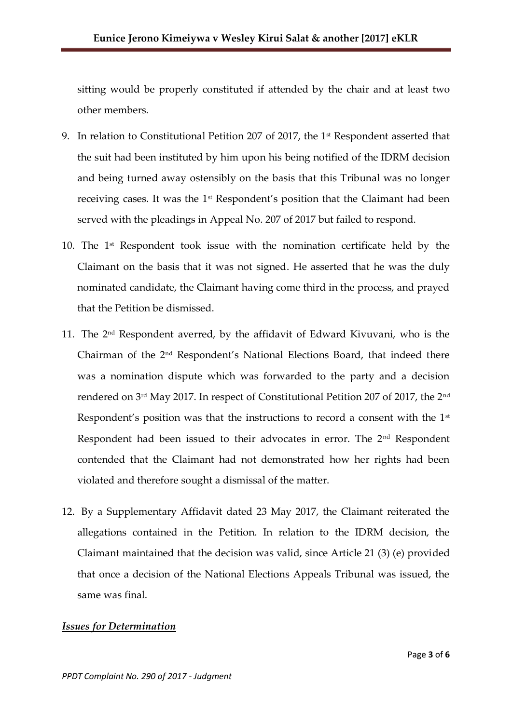sitting would be properly constituted if attended by the chair and at least two other members.

- 9. In relation to Constitutional Petition 207 of 2017, the 1st Respondent asserted that the suit had been instituted by him upon his being notified of the IDRM decision and being turned away ostensibly on the basis that this Tribunal was no longer receiving cases. It was the 1<sup>st</sup> Respondent's position that the Claimant had been served with the pleadings in Appeal No. 207 of 2017 but failed to respond.
- 10. The  $1<sup>st</sup>$  Respondent took issue with the nomination certificate held by the Claimant on the basis that it was not signed. He asserted that he was the duly nominated candidate, the Claimant having come third in the process, and prayed that the Petition be dismissed.
- 11. The  $2<sup>nd</sup>$  Respondent averred, by the affidavit of Edward Kivuvani, who is the Chairman of the 2nd Respondent's National Elections Board, that indeed there was a nomination dispute which was forwarded to the party and a decision rendered on 3rd May 2017. In respect of Constitutional Petition 207 of 2017, the 2nd Respondent's position was that the instructions to record a consent with the 1<sup>st</sup> Respondent had been issued to their advocates in error. The 2<sup>nd</sup> Respondent contended that the Claimant had not demonstrated how her rights had been violated and therefore sought a dismissal of the matter.
- 12. By a Supplementary Affidavit dated 23 May 2017, the Claimant reiterated the allegations contained in the Petition. In relation to the IDRM decision, the Claimant maintained that the decision was valid, since Article 21 (3) (e) provided that once a decision of the National Elections Appeals Tribunal was issued, the same was final.

#### *Issues for Determination*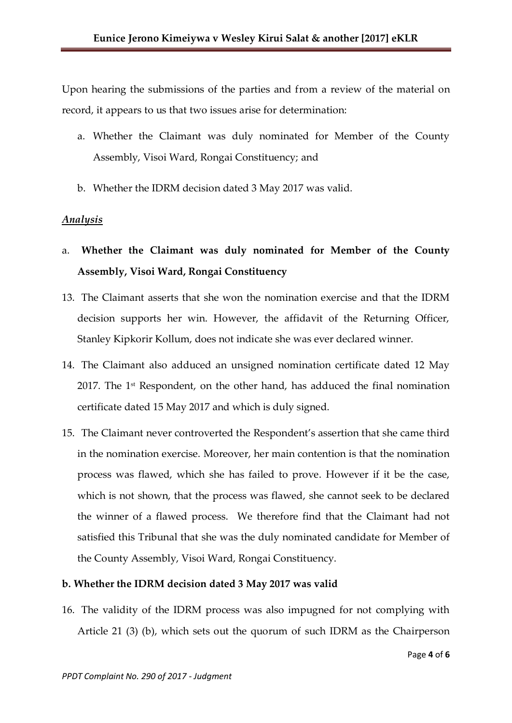Upon hearing the submissions of the parties and from a review of the material on record, it appears to us that two issues arise for determination:

- a. Whether the Claimant was duly nominated for Member of the County Assembly, Visoi Ward, Rongai Constituency; and
- b. Whether the IDRM decision dated 3 May 2017 was valid.

## *Analysis*

- a. **Whether the Claimant was duly nominated for Member of the County Assembly, Visoi Ward, Rongai Constituency**
- 13. The Claimant asserts that she won the nomination exercise and that the IDRM decision supports her win. However, the affidavit of the Returning Officer, Stanley Kipkorir Kollum, does not indicate she was ever declared winner.
- 14. The Claimant also adduced an unsigned nomination certificate dated 12 May 2017. The 1<sup>st</sup> Respondent, on the other hand, has adduced the final nomination certificate dated 15 May 2017 and which is duly signed.
- 15. The Claimant never controverted the Respondent's assertion that she came third in the nomination exercise. Moreover, her main contention is that the nomination process was flawed, which she has failed to prove. However if it be the case, which is not shown, that the process was flawed, she cannot seek to be declared the winner of a flawed process. We therefore find that the Claimant had not satisfied this Tribunal that she was the duly nominated candidate for Member of the County Assembly, Visoi Ward, Rongai Constituency.

### **b. Whether the IDRM decision dated 3 May 2017 was valid**

16. The validity of the IDRM process was also impugned for not complying with Article 21 (3) (b), which sets out the quorum of such IDRM as the Chairperson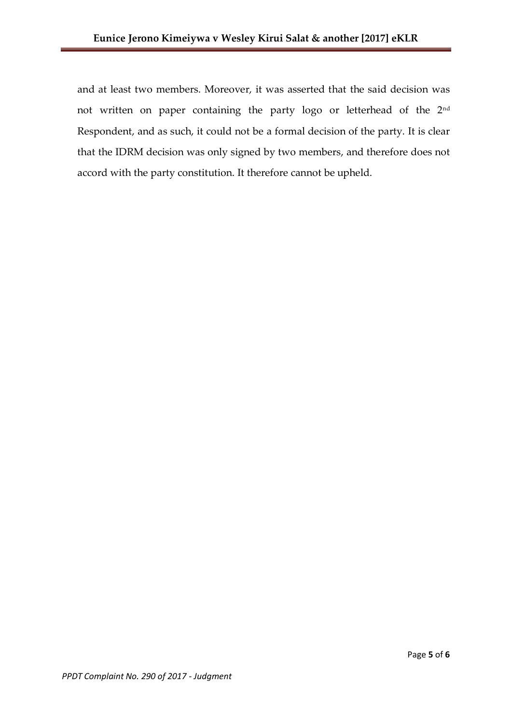and at least two members. Moreover, it was asserted that the said decision was not written on paper containing the party logo or letterhead of the 2nd Respondent, and as such, it could not be a formal decision of the party. It is clear that the IDRM decision was only signed by two members, and therefore does not accord with the party constitution. It therefore cannot be upheld.